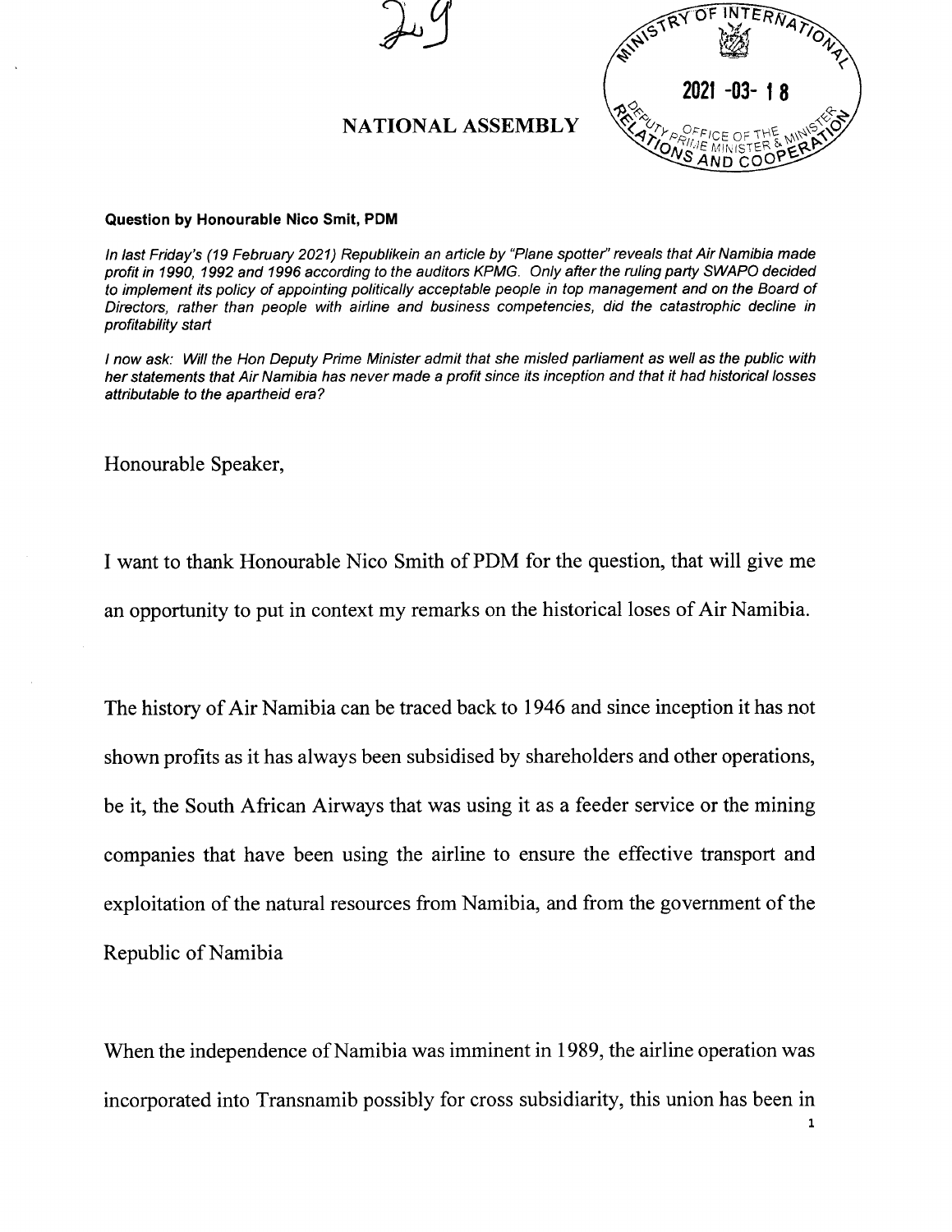

## Question by Honourable Nico Smit, PDM

*In last Friday's* (19 *February 2021) Republikein an article by "Plane spotter" reveals that Air Namibia made profit in 1990,* 1992 *and* 1996 *according to the auditors KPMG. Only after the ruling party* SWAPO *decided to implement its policy of appointing politically acceptable people in top management and on the Board of Directors, rather than people with airline and business competencies, did the catastrophic decline in profitability start*

I now ask: Will the Hon Deputy Prime Minister admit that she misled parliament as well as the public with her statements that Air Namibia has never made a profit since its inception and that it had historical losses *attributable to the apartheid era?*

Honourable Speaker,

I want to thank Honourable Nico Smith of PDM for the question, that will give me an opportunity to put in context my remarks on the historical loses of Air Namibia.

The history of Air Namibia can be traced back to 1946 and since inception it has not shown profits as it has always been subsidised by shareholders and other operations, be it, the South African Airways that was using it as a feeder service or the mining companies that have been using the airline to ensure the effective transport and exploitation of the natural resources from Namibia, and from the government of the Republic of Namibia

When the independence of Namibia was imminent in 1989, the airline operation was incorporated into Transnamib possibly for cross subsidiarity, this union has been in

1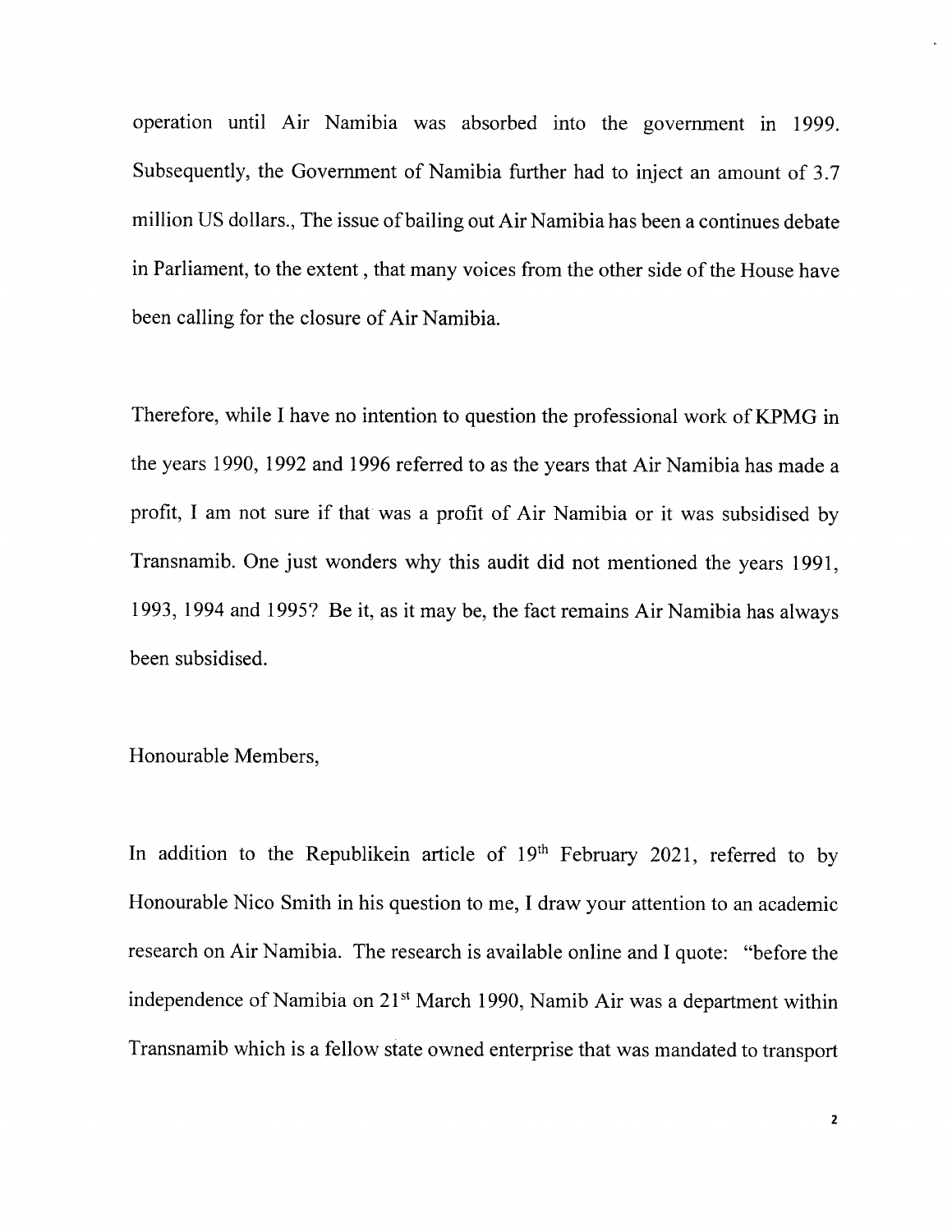operation until Air Namibia was absorbed into the government in 1999. Subsequently, the Government of Namibia further had to inject an amount of 3.7 million US dollars., The issue of bailing out Air Namibia has been a continues debate in Parliament, to the extent, that many voices from the other side of the House have been calling for the closure of Air Namibia.

Therefore, while I have no intention to question the professional work of KPMG in the years 1990, 1992 and 1996 referred to as the years that Air Namibia has made a profit, I am not sure if that was a profit of Air Namibia or it was subsidised by Transnamib. One just wonders why this audit did not mentioned the years 1991, 1993, 1994 and 1995? Be it, as it may be, the fact remains Air Namibia has always been subsidised.

## Honourable Members,

In addition to the Republikein article of  $19<sup>th</sup>$  February 2021, referred to by Honourable Nico Smith in his question to me, I draw your attention to an academic research on Air Namibia. The research is available online and I quote: "before the independence of Namibia on  $21<sup>st</sup>$  March 1990, Namib Air was a department within Transnamib which is a fellow state owned enterprise that was mandated to transport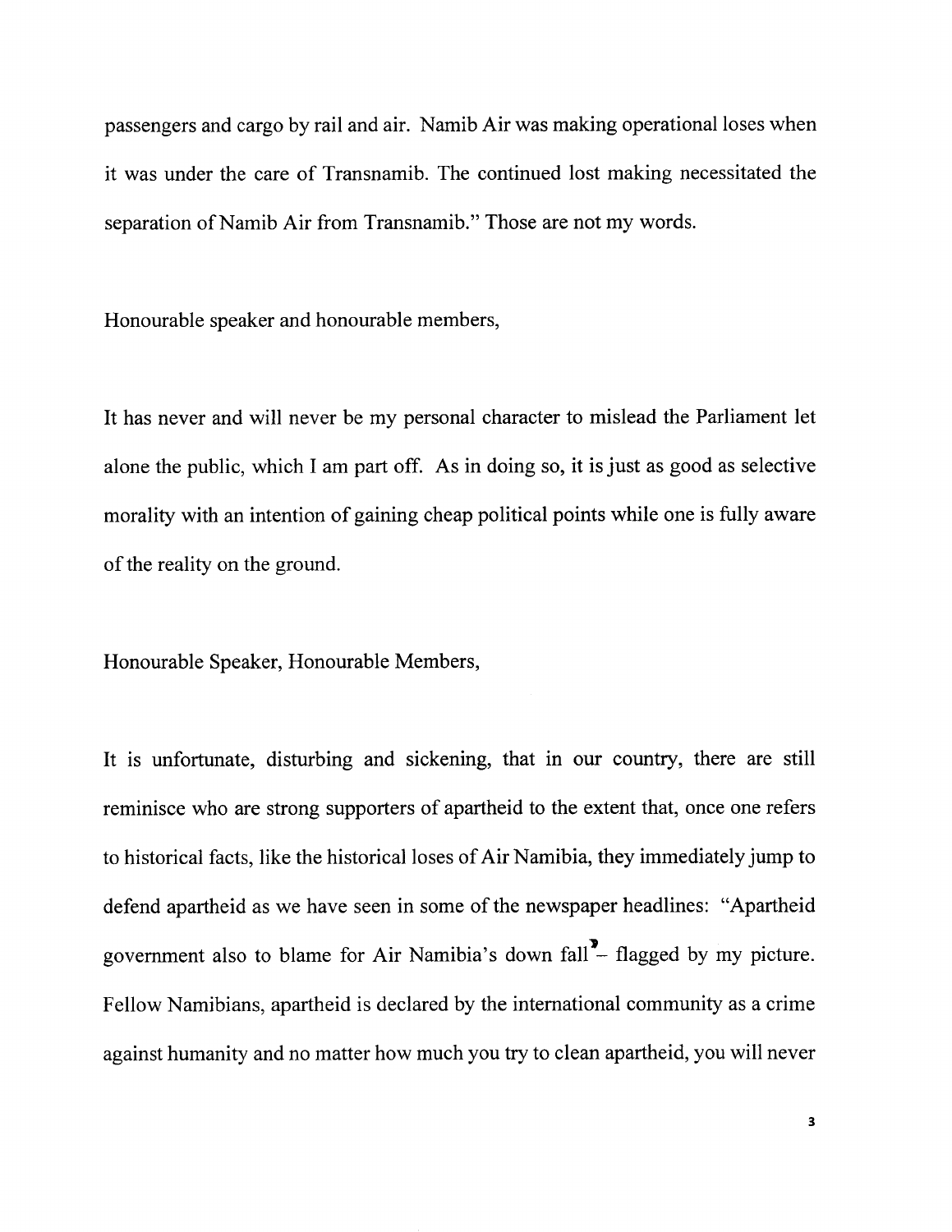passengers and cargo by rail and air. Namib Air was making operational loses when it was under the care of Transnamib. The continued lost making necessitated the separation of Namib Air from Transnamib." Those are not my words.

Honourable speaker and honourable members,

It has never and will never be my personal character to mislead the Parliament let alone the public, which I am part off. As in doing so, it is just as good as selective morality with an intention of gaining cheap political points while one is fully aware of the reality on the ground.

Honourable Speaker, Honourable Members,

It is unfortunate, disturbing and sickening, that in our country, there are still reminisce who are strong supporters of apartheid to the extent that, once one refers to historical facts, like the historical loses of Air Namibia, they immediately jump to defend apartheid as we have seen in some of the newspaper headlines: "Apartheid government also to blame for Air Namibia's down fall $\blacksquare$ - flagged by my picture. Fellow Namibians, apartheid is declared by the international community as a crime against humanity and no matter how much you try to clean apartheid, you will never

3